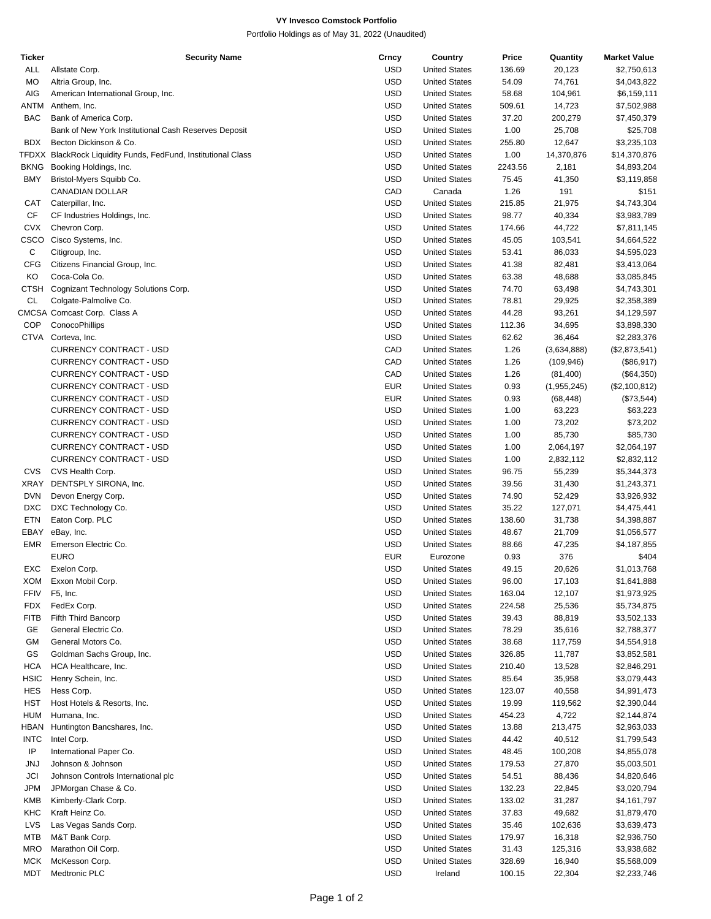## **VY Invesco Comstock Portfolio**

Portfolio Holdings as of May 31, 2022 (Unaudited)

| Ticker      | <b>Security Name</b>                                          | Crncy      | Country              | Price   | Quantity    | <b>Market Value</b> |
|-------------|---------------------------------------------------------------|------------|----------------------|---------|-------------|---------------------|
| ALL         | Allstate Corp.                                                | <b>USD</b> | <b>United States</b> | 136.69  | 20,123      | \$2,750,613         |
| MO          | Altria Group, Inc.                                            | <b>USD</b> | <b>United States</b> | 54.09   | 74,761      | \$4,043,822         |
| AIG         | American International Group, Inc.                            | <b>USD</b> | <b>United States</b> | 58.68   | 104,961     | \$6,159,111         |
| ANTM        | Anthem, Inc.                                                  | <b>USD</b> | <b>United States</b> | 509.61  | 14,723      | \$7,502,988         |
|             | Bank of America Corp.                                         |            |                      |         |             |                     |
| BAC         |                                                               | <b>USD</b> | <b>United States</b> | 37.20   | 200,279     | \$7,450,379         |
|             | Bank of New York Institutional Cash Reserves Deposit          | <b>USD</b> | <b>United States</b> | 1.00    | 25,708      | \$25,708            |
| <b>BDX</b>  | Becton Dickinson & Co.                                        | <b>USD</b> | <b>United States</b> | 255.80  | 12,647      | \$3,235,103         |
|             | TFDXX BlackRock Liquidity Funds, FedFund, Institutional Class | <b>USD</b> | <b>United States</b> | 1.00    | 14,370,876  | \$14,370,876        |
| <b>BKNG</b> | Booking Holdings, Inc.                                        | <b>USD</b> | <b>United States</b> | 2243.56 | 2,181       | \$4,893,204         |
| <b>BMY</b>  | Bristol-Myers Squibb Co.                                      | <b>USD</b> | <b>United States</b> | 75.45   | 41,350      | \$3,119,858         |
|             | CANADIAN DOLLAR                                               | CAD        | Canada               | 1.26    | 191         | \$151               |
|             |                                                               |            |                      |         |             |                     |
| CAT         | Caterpillar, Inc.                                             | <b>USD</b> | <b>United States</b> | 215.85  | 21,975      | \$4,743,304         |
| CF          | CF Industries Holdings, Inc.                                  | <b>USD</b> | <b>United States</b> | 98.77   | 40,334      | \$3,983,789         |
| <b>CVX</b>  | Chevron Corp.                                                 | <b>USD</b> | <b>United States</b> | 174.66  | 44,722      | \$7,811,145         |
| CSCO        | Cisco Systems, Inc.                                           | <b>USD</b> | <b>United States</b> | 45.05   | 103,541     | \$4,664,522         |
| C           | Citigroup, Inc.                                               | <b>USD</b> | <b>United States</b> | 53.41   | 86,033      | \$4,595,023         |
| <b>CFG</b>  | Citizens Financial Group, Inc.                                | <b>USD</b> | <b>United States</b> | 41.38   | 82,481      | \$3,413,064         |
|             |                                                               |            |                      |         |             |                     |
| KO          | Coca-Cola Co.                                                 | <b>USD</b> | <b>United States</b> | 63.38   | 48,688      | \$3,085,845         |
| <b>CTSH</b> | Cognizant Technology Solutions Corp.                          | <b>USD</b> | <b>United States</b> | 74.70   | 63,498      | \$4,743,301         |
| CL          | Colgate-Palmolive Co.                                         | <b>USD</b> | <b>United States</b> | 78.81   | 29,925      | \$2,358,389         |
|             | CMCSA Comcast Corp. Class A                                   | <b>USD</b> | <b>United States</b> | 44.28   | 93,261      | \$4,129,597         |
| <b>COP</b>  | ConocoPhillips                                                | <b>USD</b> | <b>United States</b> | 112.36  | 34,695      | \$3,898,330         |
|             | CTVA Corteva, Inc.                                            | <b>USD</b> | <b>United States</b> | 62.62   | 36,464      | \$2,283,376         |
|             | CURRENCY CONTRACT - USD                                       | CAD        | <b>United States</b> | 1.26    |             |                     |
|             |                                                               |            |                      |         | (3,634,888) | (\$2,873,541)       |
|             | CURRENCY CONTRACT - USD                                       | CAD        | <b>United States</b> | 1.26    | (109, 946)  | (\$86,917)          |
|             | CURRENCY CONTRACT - USD                                       | CAD        | <b>United States</b> | 1.26    | (81,400)    | (\$64,350)          |
|             | <b>CURRENCY CONTRACT - USD</b>                                | <b>EUR</b> | <b>United States</b> | 0.93    | (1,955,245) | (\$2,100,812)       |
|             | CURRENCY CONTRACT - USD                                       | <b>EUR</b> | <b>United States</b> | 0.93    | (68, 448)   | (\$73,544)          |
|             | CURRENCY CONTRACT - USD                                       | <b>USD</b> | <b>United States</b> | 1.00    | 63,223      | \$63,223            |
|             | CURRENCY CONTRACT - USD                                       | <b>USD</b> | <b>United States</b> | 1.00    | 73,202      | \$73,202            |
|             |                                                               |            |                      |         |             |                     |
|             | CURRENCY CONTRACT - USD                                       | <b>USD</b> | <b>United States</b> | 1.00    | 85,730      | \$85,730            |
|             | CURRENCY CONTRACT - USD                                       | <b>USD</b> | <b>United States</b> | 1.00    | 2,064,197   | \$2,064,197         |
|             | CURRENCY CONTRACT - USD                                       | <b>USD</b> | <b>United States</b> | 1.00    | 2,832,112   | \$2,832,112         |
| CVS         | CVS Health Corp.                                              | <b>USD</b> | <b>United States</b> | 96.75   | 55,239      | \$5,344,373         |
| XRAY        | DENTSPLY SIRONA, Inc.                                         | <b>USD</b> | <b>United States</b> | 39.56   | 31,430      | \$1,243,371         |
| <b>DVN</b>  | Devon Energy Corp.                                            | <b>USD</b> | <b>United States</b> | 74.90   | 52,429      | \$3,926,932         |
|             |                                                               |            |                      |         |             |                     |
| <b>DXC</b>  | DXC Technology Co.                                            | <b>USD</b> | <b>United States</b> | 35.22   | 127,071     | \$4,475,441         |
| <b>ETN</b>  | Eaton Corp. PLC                                               | <b>USD</b> | <b>United States</b> | 138.60  | 31,738      | \$4,398,887         |
| EBAY        | eBay, Inc.                                                    | <b>USD</b> | <b>United States</b> | 48.67   | 21,709      | \$1,056,577         |
| <b>EMR</b>  | Emerson Electric Co.                                          | <b>USD</b> | <b>United States</b> | 88.66   | 47,235      | \$4,187,855         |
|             | <b>EURO</b>                                                   | <b>EUR</b> | Eurozone             | 0.93    | 376         | \$404               |
| EXC         | Exelon Corp.                                                  | <b>USD</b> | <b>United States</b> | 49.15   | 20,626      | \$1,013,768         |
| XOM         | Exxon Mobil Corp.                                             | <b>USD</b> | <b>United States</b> | 96.00   | 17,103      | \$1,641,888         |
|             |                                                               |            |                      |         |             |                     |
| FFIV        | F5, Inc.                                                      | <b>USD</b> | <b>United States</b> | 163.04  | 12,107      | \$1,973,925         |
| <b>FDX</b>  | FedEx Corp.                                                   | <b>USD</b> | <b>United States</b> | 224.58  | 25,536      | \$5,734,875         |
| <b>FITB</b> | Fifth Third Bancorp                                           | <b>USD</b> | <b>United States</b> | 39.43   | 88,819      | \$3,502,133         |
| GE          | General Electric Co.                                          | <b>USD</b> | <b>United States</b> | 78.29   | 35,616      | \$2,788,377         |
| GM          | General Motors Co.                                            | <b>USD</b> | <b>United States</b> | 38.68   | 117,759     | \$4,554,918         |
| GS          | Goldman Sachs Group, Inc.                                     | <b>USD</b> | <b>United States</b> | 326.85  | 11,787      | \$3,852,581         |
|             | HCA Healthcare, Inc.                                          |            |                      |         |             |                     |
| <b>HCA</b>  |                                                               | <b>USD</b> | <b>United States</b> | 210.40  | 13,528      | \$2,846,291         |
| <b>HSIC</b> | Henry Schein, Inc.                                            | <b>USD</b> | <b>United States</b> | 85.64   | 35,958      | \$3,079,443         |
| HES         | Hess Corp.                                                    | <b>USD</b> | <b>United States</b> | 123.07  | 40,558      | \$4,991,473         |
| HST         | Host Hotels & Resorts, Inc.                                   | <b>USD</b> | <b>United States</b> | 19.99   | 119,562     | \$2,390,044         |
| <b>HUM</b>  | Humana, Inc.                                                  | <b>USD</b> | <b>United States</b> | 454.23  | 4,722       | \$2,144,874         |
| <b>HBAN</b> | Huntington Bancshares, Inc.                                   | <b>USD</b> | <b>United States</b> | 13.88   | 213,475     | \$2,963,033         |
| <b>INTC</b> | Intel Corp.                                                   | <b>USD</b> | <b>United States</b> |         |             |                     |
|             |                                                               |            |                      | 44.42   | 40,512      | \$1,799,543         |
| IP          | International Paper Co.                                       | <b>USD</b> | <b>United States</b> | 48.45   | 100,208     | \$4,855,078         |
| JNJ         | Johnson & Johnson                                             | <b>USD</b> | <b>United States</b> | 179.53  | 27,870      | \$5,003,501         |
| JCI         | Johnson Controls International plc                            | <b>USD</b> | <b>United States</b> | 54.51   | 88,436      | \$4,820,646         |
| JPM         | JPMorgan Chase & Co.                                          | <b>USD</b> | <b>United States</b> | 132.23  | 22,845      | \$3,020,794         |
| KMB         | Kimberly-Clark Corp.                                          | <b>USD</b> | <b>United States</b> | 133.02  | 31,287      | \$4,161,797         |
| KHC         | Kraft Heinz Co.                                               | <b>USD</b> | <b>United States</b> | 37.83   | 49,682      | \$1,879,470         |
|             |                                                               |            |                      |         |             |                     |
| LVS         | Las Vegas Sands Corp.                                         | <b>USD</b> | <b>United States</b> | 35.46   | 102,636     | \$3,639,473         |
| MTB         | M&T Bank Corp.                                                | <b>USD</b> | <b>United States</b> | 179.97  | 16,318      | \$2,936,750         |
| <b>MRO</b>  | Marathon Oil Corp.                                            | <b>USD</b> | <b>United States</b> | 31.43   | 125,316     | \$3,938,682         |
| <b>MCK</b>  | McKesson Corp.                                                | <b>USD</b> | <b>United States</b> | 328.69  | 16,940      | \$5,568,009         |
| MDT         | Medtronic PLC                                                 | <b>USD</b> | Ireland              | 100.15  | 22,304      | \$2,233,746         |
|             |                                                               |            |                      |         |             |                     |